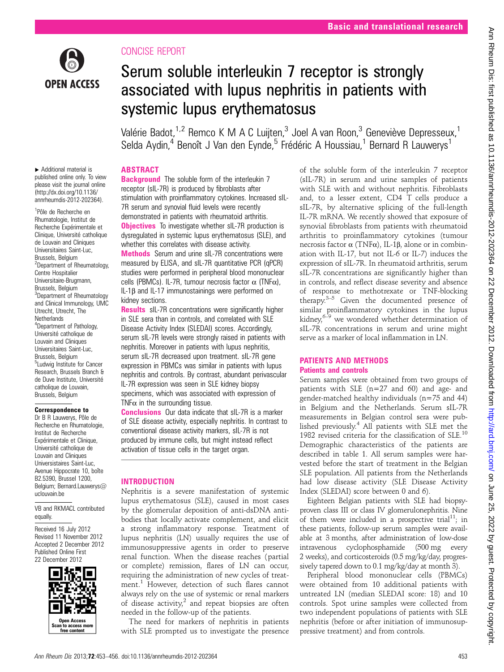

▸ Additional material is

1 Pôle de Recherche en

de Louvain and Cliniques Universitaires Saint-Luc, Brussels, Belgium

Centre Hospitalier Universitaire-Brugmann, Brussels, Belgium <sup>3</sup>Department of Rheumatology and Clinical Immunology, UMC Utrecht, Utrecht, The **Netherlands** 

<sup>2</sup>Department of Rheumatology,

<sup>4</sup>Department of Pathology, Université catholique de Louvain and Cliniques Universitaires Saint-Luc, Brussels, Belgium <sup>5</sup>Ludwig Institute for Cancer Research, Brussels Branch & de Duve Institute, Université catholique de Louvain, Brussels, Belgium Correspondence to Dr B R Lauwerys, Pôle de Recherche en Rhumatologie, Institut de Recherche Expérimentale et Clinique, Université catholique de Louvain and Cliniques Universistaires Saint-Luc, Avenue Hippocrate 10, boîte B2.5390, Brussel 1200, Belgium; Bernard.Lauwerys@

uclouvain.be

equally.

VB and RKMACL contributed

Open Access<br>an to access r free conte

Received 16 July 2012 Revised 11 November 2012 Accepted 2 December 2012 Published Online First 22 December 2012

# CONCISE REPORT

# Serum soluble interleukin 7 receptor is strongly associated with lupus nephritis in patients with systemic lupus erythematosus

Valérie Badot,<sup>1,2</sup> Remco K M A C Luijten,<sup>3</sup> Joel A van Roon,<sup>3</sup> Geneviève Depresseux,<sup>1</sup> Selda Aydin,<sup>4</sup> Benoît J Van den Eynde,<sup>5</sup> Frédéric A Houssiau,<sup>1</sup> Bernard R Lauwerys<sup>1</sup>

# ABSTRACT

published online only. To view please visit the journal online [\(http://dx.doi.org/10.1136/](http://dx.doi.org/10.1136/annrheumdis-2012-202364) [annrheumdis-2012-202364](http://dx.doi.org/10.1136/annrheumdis-2012-202364)). Rhumatologie, Institut de Recherche Expérimentale et Clinique, Université catholique **Background** The soluble form of the interleukin 7 receptor (sIL-7R) is produced by fibroblasts after stimulation with proinflammatory cytokines. Increased sIL-7R serum and synovial fluid levels were recently demonstrated in patients with rheumatoid arthritis. **Objectives** To investigate whether sIL-7R production is

dysregulated in systemic lupus erythematosus (SLE), and whether this correlates with disease activity. Methods Serum and urine sIL-7R concentrations were measured by ELISA, and sIL-7R quantitative PCR (qPCR)

studies were performed in peripheral blood mononuclear cells (PBMCs). IL-7R, tumour necrosis factor  $\alpha$  (TNF $\alpha$ ), IL-1β and IL-17 immunostainings were performed on kidney sections.

**Results** sIL-7R concentrations were significantly higher in SLE sera than in controls, and correlated with SLE Disease Activity Index (SLEDAI) scores. Accordingly, serum sIL-7R levels were strongly raised in patients with nephritis. Moreover in patients with lupus nephritis, serum sIL-7R decreased upon treatment. sIL-7R gene expression in PBMCs was similar in patients with lupus nephritis and controls. By contrast, abundant perivascular IL-7R expression was seen in SLE kidney biopsy specimens, which was associated with expression of TNF $\alpha$  in the surrounding tissue.

Conclusions Our data indicate that sIL-7R is a marker of SLE disease activity, especially nephritis. In contrast to conventional disease activity markers, sIL-7R is not produced by immune cells, but might instead reflect activation of tissue cells in the target organ.

# INTRODUCTION

Nephritis is a severe manifestation of systemic lupus erythematosus (SLE), caused in most cases by the glomerular deposition of anti-dsDNA antibodies that locally activate complement, and elicit a strong inflammatory response. Treatment of lupus nephritis (LN) usually requires the use of immunosuppressive agents in order to preserve renal function. When the disease reaches (partial or complete) remission, flares of LN can occur, requiring the administration of new cycles of treatment.<sup>1</sup> However, detection of such flares cannot always rely on the use of systemic or renal markers of disease activity, $2$  and repeat biopsies are often needed in the follow-up of the patients.

The need for markers of nephritis in patients with SLE prompted us to investigate the presence

of the soluble form of the interleukin 7 receptor (sIL-7R) in serum and urine samples of patients with SLE with and without nephritis. Fibroblasts and, to a lesser extent, CD4 T cells produce a sIL-7R, by alternative splicing of the full-length IL-7R mRNA. We recently showed that exposure of synovial fibroblasts from patients with rheumatoid arthritis to proinflammatory cytokines (tumour necrosis factor α (TNFα), IL-1β, alone or in combination with IL-17, but not IL-6 or IL-7) induces the expression of sIL-7R. In rheumatoid arthritis, serum sIL-7R concentrations are significantly higher than in controls, and reflect disease severity and absence of response to methotrexate or TNF-blocking therapy.3–<sup>5</sup> Given the documented presence of similar proinflammatory cytokines in the lupus kidney, $6-9$  we wondered whether determination of sIL-7R concentrations in serum and urine might serve as a marker of local inflammation in LN.

## PATIENTS AND METHODS Patients and controls

Serum samples were obtained from two groups of patients with SLE (n=27 and 60) and age- and gender-matched healthy individuals (n=75 and 44) in Belgium and the Netherlands. Serum sIL-7R measurements in Belgian control sera were published previously.<sup>4</sup> All patients with SLE met the 1982 revised criteria for the classification of SLE.10 Demographic characteristics of the patients are described in table 1. All serum samples were harvested before the start of treatment in the Belgian SLE population. All patients from the Netherlands had low disease activity (SLE Disease Activity Index (SLEDAI) score between 0 and 6).

Eighteen Belgian patients with SLE had biopsyproven class III or class IV glomerulonephritis. Nine of them were included in a prospective trial<sup>11</sup>; in these patients, follow-up serum samples were available at 3 months, after administration of low-dose intravenous cyclophosphamide (500 mg every 2 weeks), and corticosteroids (0.5 mg/kg/day, progressively tapered down to 0.1 mg/kg/day at month 3).

Peripheral blood mononuclear cells (PBMCs) were obtained from 10 additional patients with untreated LN (median SLEDAI score: 18) and 10 controls. Spot urine samples were collected from two independent populations of patients with SLE nephritis (before or after initiation of immunosuppressive treatment) and from controls.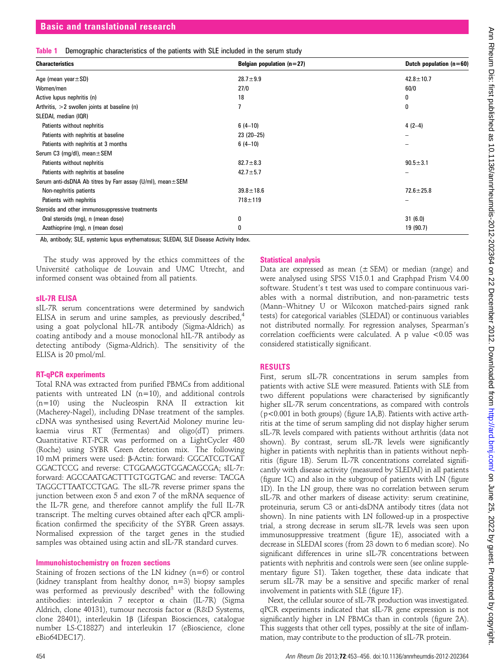| Table 1 Demographic characteristics of the patients with SLE included in the serum study |  |
|------------------------------------------------------------------------------------------|--|
|------------------------------------------------------------------------------------------|--|

| <b>Characteristics</b>                                             | Belgian population $(n=27)$ | Dutch population $(n=60)$ |
|--------------------------------------------------------------------|-----------------------------|---------------------------|
| Age (mean year $\pm$ SD)                                           | $28.7 + 9.9$                | $42.8 \pm 10.7$           |
| Women/men                                                          | 27/0                        | 60/0                      |
| Active lupus nephritis (n)                                         | 18                          | 0                         |
| Arthritis, $>2$ swollen joints at baseline (n)                     |                             | 0                         |
| SLEDAI, median (IQR)                                               |                             |                           |
| Patients without nephritis                                         | $6(4-10)$                   | $4(2-4)$                  |
| Patients with nephritis at baseline                                | $23(20-25)$                 | -                         |
| Patients with nephritis at 3 months                                | $6(4-10)$                   | -                         |
| Serum C3 (mg/dl), mean $\pm$ SEM                                   |                             |                           |
| Patients without nephritis                                         | $82.7 \pm 8.3$              | $90.5 \pm 3.1$            |
| Patients with nephritis at baseline                                | $42.7 \pm 5.7$              |                           |
| Serum anti-dsDNA Ab titres by Farr assay $(U/mI)$ , mean $\pm$ SEM |                             |                           |
| Non-nephritis patients                                             | $39.8 \pm 18.6$             | $72.6 \pm 25.8$           |
| Patients with nephritis                                            | $718 + 119$                 |                           |
| Steroids and other immunosuppressive treatments                    |                             |                           |
| Oral steroids (mg), n (mean dose)                                  | 0                           | 31(6.0)                   |
| Azathioprine (mg), n (mean dose)                                   | 0                           | 19 (90.7)                 |

Ab, antibody; SLE, systemic lupus erythematosus; SLEDAI, SLE Disease Activity Index.

The study was approved by the ethics committees of the Université catholique de Louvain and UMC Utrecht, and informed consent was obtained from all patients.

#### sIL-7R ELISA

sIL-7R serum concentrations were determined by sandwich ELISA in serum and urine samples, as previously described, $4$ using a goat polyclonal hIL-7R antibody (Sigma-Aldrich) as coating antibody and a mouse monoclonal hIL-7R antibody as detecting antibody (Sigma-Aldrich). The sensitivity of the ELISA is 20 pmol/ml.

#### RT-qPCR experiments

Total RNA was extracted from purified PBMCs from additional patients with untreated LN (n=10), and additional controls (n=10) using the Nucleospin RNA II extraction kit (Macherey-Nagel), including DNase treatment of the samples. cDNA was synthesised using RevertAid Moloney murine leukaemia virus RT (Fermentas) and oligo(dT) primers. Quantitative RT-PCR was performed on a LightCycler 480 (Roche) using SYBR Green detection mix. The following 10 mM primers were used: β-Actin: forward: GGCATCGTGAT GGACTCCG and reverse: CTGGAAGGTGGACAGCGA; sIL-7r: forward: AGCCAATGACTTTGTGGTGAC and reverse: TACGA TAGGCTTAATCCTGAG. The sIL-7R reverse primer spans the junction between exon 5 and exon 7 of the mRNA sequence of the IL-7R gene, and therefore cannot amplify the full IL-7R transcript. The melting curves obtained after each qPCR amplification confirmed the specificity of the SYBR Green assays. Normalised expression of the target genes in the studied samples was obtained using actin and sIL-7R standard curves.

## Immunohistochemistry on frozen sections

Staining of frozen sections of the LN kidney (n=6) or control (kidney transplant from healthy donor, n=3) biopsy samples was performed as previously described<sup>3</sup> with the following antibodies: interleukin 7 receptor α chain (IL-7R) (Sigma Aldrich, clone 40131), tumour necrosis factor α (R&D Systems, clone 28401), interleukin 1β (Lifespan Biosciences, catalogue number LS-C18827) and interleukin 17 (eBioscience, clone eBio64DEC17).

## Statistical analysis

Data are expressed as mean  $(\pm$  SEM) or median (range) and were analysed using SPSS V.15.0.1 and Graphpad Prism V.4.00 software. Student's t test was used to compare continuous variables with a normal distribution, and non-parametric tests (Mann–Whitney U or Wilcoxon matched-pairs signed rank tests) for categorical variables (SLEDAI) or continuous variables not distributed normally. For regression analyses, Spearman's correlation coefficients were calculated. A p value <0.05 was considered statistically significant.

# RESULTS

First, serum sIL-7R concentrations in serum samples from patients with active SLE were measured. Patients with SLE from two different populations were characterised by significantly higher sIL-7R serum concentrations, as compared with controls (p<0.001 in both groups) (figure 1A,B). Patients with active arthritis at the time of serum sampling did not display higher serum sIL-7R levels compared with patients without arthritis (data not shown). By contrast, serum sIL-7R levels were significantly higher in patients with nephritis than in patients without nephritis (figure 1B). Serum IL-7R concentrations correlated significantly with disease activity (measured by SLEDAI) in all patients (figure 1C) and also in the subgroup of patients with LN (figure 1D). In the LN group, there was no correlation between serum sIL-7R and other markers of disease activity: serum creatinine, proteinuria, serum C3 or anti-dsDNA antibody titres (data not shown). In nine patients with LN followed-up in a prospective trial, a strong decrease in serum sIL-7R levels was seen upon immunosuppressive treatment (figure 1E), associated with a decrease in SLEDAI scores (from 23 down to 6 median score). No significant differences in urine sIL-7R concentrations between patients with nephritis and controls were seen (see online supplementary figure S1). Taken together, these data indicate that serum sIL-7R may be a sensitive and specific marker of renal involvement in patients with SLE (figure 1F).

Next, the cellular source of sIL-7R production was investigated. qPCR experiments indicated that sIL-7R gene expression is not significantly higher in LN PBMCs than in controls (figure 2A). This suggests that other cell types, possibly at the site of inflammation, may contribute to the production of sIL-7R protein.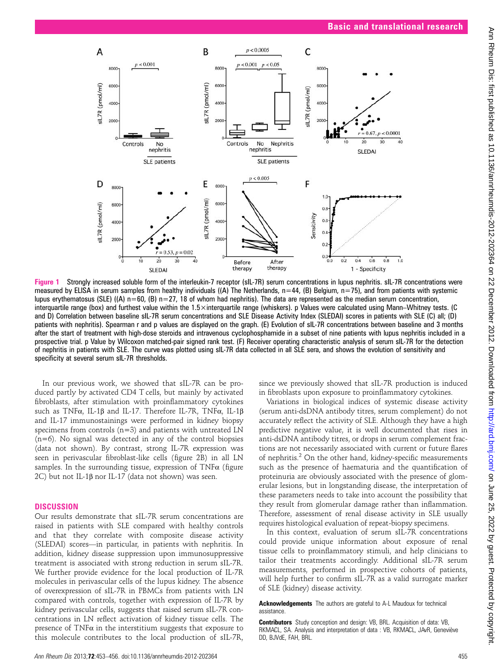

Figure 1 Strongly increased soluble form of the interleukin-7 receptor (sIL-7R) serum concentrations in lupus nephritis. sIL-7R concentrations were measured by ELISA in serum samples from healthy individuals ((A) The Netherlands,  $n=44$ , (B) Belgium,  $n=75$ ), and from patients with systemic lupus erythematosus (SLE) ((A)  $n=60$ , (B)  $n=27$ , 18 of whom had nephritis). The data are represented as the median serum concentration, interquartile range (box) and furthest value within the 1.5×interquartile range (whiskers). p Values were calculated using Mann–Whitney tests. (C and D) Correlation between baseline sIL-7R serum concentrations and SLE Disease Activity Index (SLEDAI) scores in patients with SLE (C) all; (D) patients with nephritis). Spearman r and p values are displayed on the graph. (E) Evolution of sIL-7R concentrations between baseline and 3 months after the start of treatment with high-dose steroids and intravenous cyclophosphamide in a subset of nine patients with lupus nephritis included in a prospective trial. p Value by Wilcoxon matched-pair signed rank test. (F) Receiver operating characteristic analysis of serum sIL-7R for the detection of nephritis in patients with SLE. The curve was plotted using sIL-7R data collected in all SLE sera, and shows the evolution of sensitivity and specificity at several serum sIL-7R thresholds.

In our previous work, we showed that sIL-7R can be produced partly by activated CD4 T cells, but mainly by activated fibroblasts, after stimulation with proinflammatory cytokines such as TNFα, IL-1β and IL-17. Therefore IL-7R, TNFα, IL-1β and IL-17 immunostainings were performed in kidney biopsy specimens from controls (n=3) and patients with untreated LN (n=6). No signal was detected in any of the control biopsies (data not shown). By contrast, strong IL-7R expression was seen in perivascular fibroblast-like cells (figure 2B) in all LN samples. In the surrounding tissue, expression of  $TNF\alpha$  (figure 2C) but not IL-1β nor IL-17 (data not shown) was seen.

#### **DISCUSSION**

Our results demonstrate that sIL-7R serum concentrations are raised in patients with SLE compared with healthy controls and that they correlate with composite disease activity (SLEDAI) scores—in particular, in patients with nephritis. In addition, kidney disease suppression upon immunosuppressive treatment is associated with strong reduction in serum sIL-7R. We further provide evidence for the local production of IL-7R molecules in perivascular cells of the lupus kidney. The absence of overexpression of sIL-7R in PBMCs from patients with LN compared with controls, together with expression of IL-7R by kidney perivascular cells, suggests that raised serum sIL-7R concentrations in LN reflect activation of kidney tissue cells. The presence of  $TNF\alpha$  in the interstitium suggests that exposure to this molecule contributes to the local production of sIL-7R, since we previously showed that sIL-7R production is induced in fibroblasts upon exposure to proinflammatory cytokines.

Variations in biological indices of systemic disease activity (serum anti-dsDNA antibody titres, serum complement) do not accurately reflect the activity of SLE. Although they have a high predictive negative value, it is well documented that rises in anti-dsDNA antibody titres, or drops in serum complement fractions are not necessarily associated with current or future flares of nephritis.<sup>2</sup> On the other hand, kidney-specific measurements such as the presence of haematuria and the quantification of proteinuria are obviously associated with the presence of glomerular lesions, but in longstanding disease, the interpretation of these parameters needs to take into account the possibility that they result from glomerular damage rather than inflammation. Therefore, assessment of renal disease activity in SLE usually requires histological evaluation of repeat-biopsy specimens.

In this context, evaluation of serum sIL-7R concentrations could provide unique information about exposure of renal tissue cells to proinflammatory stimuli, and help clinicians to tailor their treatments accordingly. Additional sIL-7R serum measurements, performed in prospective cohorts of patients, will help further to confirm sIL-7R as a valid surrogate marker of SLE (kidney) disease activity.

Acknowledgements The authors are grateful to A-L Maudoux for technical assistance.

Contributors Study conception and design: VB, BRL. Acquisition of data: VB, RKMACL, SA. Analysis and interpretation of data : VB, RKMACL, JAvR, Geneviève DD, BJVdE, FAH, BRL.